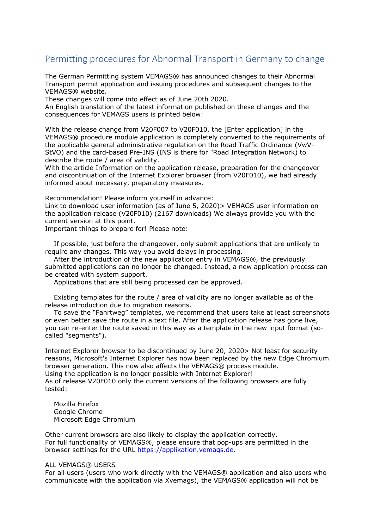## Permitting procedures for Abnormal Transport in Germany to change

The German Permitting system VEMAGS® has announced changes to their Abnormal Transport permit application and issuing procedures and subsequent changes to the VEMAGS® website.

These changes will come into effect as of June 20th 2020.

An English translation of the latest information published on these changes and the consequences for VEMAGS users is printed below:

With the release change from V20F007 to V20F010, the [Enter application] in the VEMAGS® procedure module application is completely converted to the requirements of the applicable general administrative regulation on the Road Traffic Ordinance (VwV-StVO) and the card-based Pre-INS (INS is there for "Road Integration Network) to describe the route / area of validity.

With the article Information on the application release, preparation for the changeover and discontinuation of the Internet Explorer browser (from V20F010), we had already informed about necessary, preparatory measures.

Recommendation! Please inform yourself in advance:

Link to download user information (as of June 5, 2020)> VEMAGS user information on the application release (V20F010) (2167 downloads) We always provide you with the current version at this point.

Important things to prepare for! Please note:

 If possible, just before the changeover, only submit applications that are unlikely to require any changes. This way you avoid delays in processing.

 After the introduction of the new application entry in VEMAGS®, the previously submitted applications can no longer be changed. Instead, a new application process can be created with system support.

Applications that are still being processed can be approved.

 Existing templates for the route / area of validity are no longer available as of the release introduction due to migration reasons.

 To save the "Fahrtweg" templates, we recommend that users take at least screenshots or even better save the route in a text file. After the application release has gone live, you can re-enter the route saved in this way as a template in the new input format (socalled "segments").

Internet Explorer browser to be discontinued by June 20, 2020> Not least for security reasons, Microsoft's Internet Explorer has now been replaced by the new Edge Chromium browser generation. This now also affects the VEMAGS® process module.

Using the application is no longer possible with Internet Explorer! As of release V20F010 only the current versions of the following browsers are fully tested:

 Mozilla Firefox Google Chrome Microsoft Edge Chromium

Other current browsers are also likely to display the application correctly. For full functionality of VEMAGS®, please ensure that pop-ups are permitted in the browser settings for the URL https://applikation.vemags.de.

## **ALL VEMAGS® USERS**

For all users (users who work directly with the VEMAGS® application and also users who communicate with the application via Xvemags), the VEMAGS® application will not be